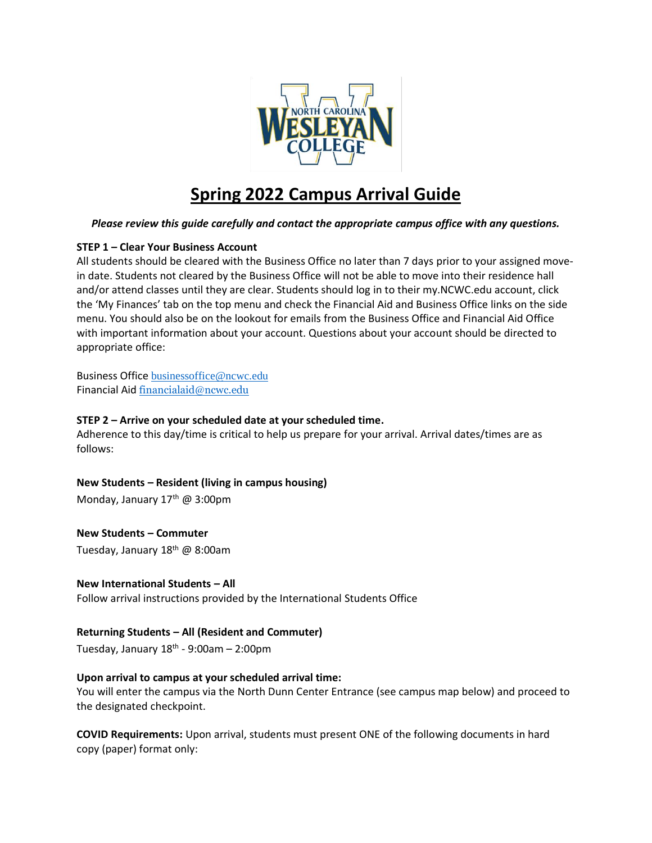

# **Spring 2022 Campus Arrival Guide**

## *Please review this guide carefully and contact the appropriate campus office with any questions.*

## **STEP 1 – Clear Your Business Account**

All students should be cleared with the Business Office no later than 7 days prior to your assigned movein date. Students not cleared by the Business Office will not be able to move into their residence hall and/or attend classes until they are clear. Students should log in to their my.NCWC.edu account, click the 'My Finances' tab on the top menu and check the Financial Aid and Business Office links on the side menu. You should also be on the lookout for emails from the Business Office and Financial Aid Office with important information about your account. Questions about your account should be directed to appropriate office:

Business Office [businessoffice@ncwc.edu](mailto:businessoffice@ncwc.edu) Financial Aid [financialaid@ncwc.edu](mailto:financialaid@ncwc.edu)

### **STEP 2 – Arrive on your scheduled date at your scheduled time.**

Adherence to this day/time is critical to help us prepare for your arrival. Arrival dates/times are as follows:

**New Students – Resident (living in campus housing)**

Monday, January 17<sup>th</sup> @ 3:00pm

**New Students – Commuter** Tuesday, January 18<sup>th</sup> @ 8:00am

**New International Students – All** Follow arrival instructions provided by the International Students Office

**Returning Students – All (Resident and Commuter)**

Tuesday, January 18<sup>th</sup> - 9:00am – 2:00pm

## **Upon arrival to campus at your scheduled arrival time:**

You will enter the campus via the North Dunn Center Entrance (see campus map below) and proceed to the designated checkpoint.

**COVID Requirements:** Upon arrival, students must present ONE of the following documents in hard copy (paper) format only: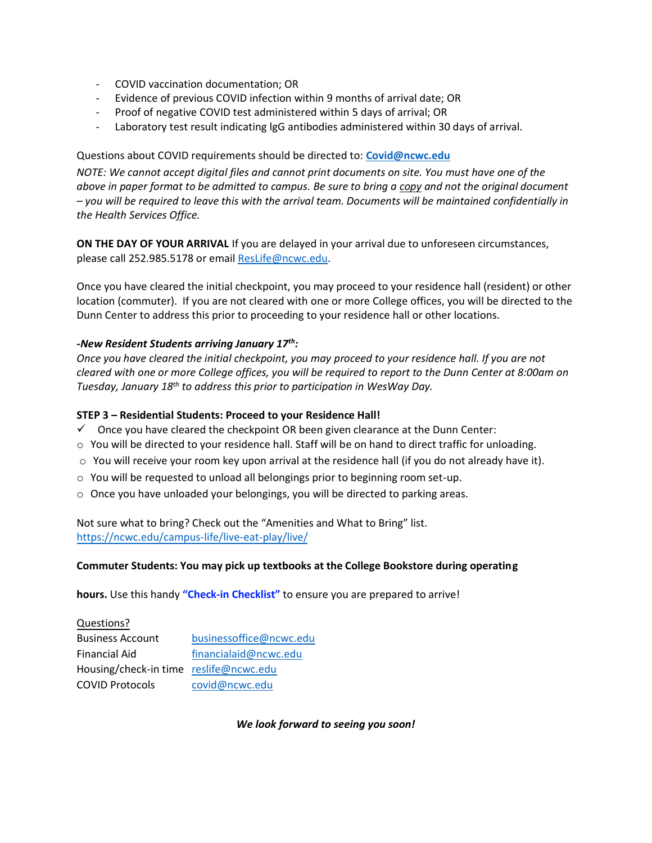- COVID vaccination documentation; OR
- Evidence of previous COVID infection within 9 months of arrival date; OR
- Proof of negative COVID test administered within 5 days of arrival; OR
- Laboratory test result indicating lgG antibodies administered within 30 days of arrival.

#### Questions about COVID requirements should be directed to: **[Covid@ncwc.edu](mailto:Covid@ncwc.edu)**

*NOTE: We cannot accept digital files and cannot print documents on site. You must have one of the above in paper format to be admitted to campus. Be sure to bring a copy and not the original document – you will be required to leave this with the arrival team. Documents will be maintained confidentially in the Health Services Office.*

**ON THE DAY OF YOUR ARRIVAL** If you are delayed in your arrival due to unforeseen circumstances, please call 252.985.5178 or emai[l ResLife@ncwc.edu.](mailto:ResLife@ncwc.edu)

Once you have cleared the initial checkpoint, you may proceed to your residence hall (resident) or other location (commuter). If you are not cleared with one or more College offices, you will be directed to the Dunn Center to address this prior to proceeding to your residence hall or other locations.

#### *-New Resident Students arriving January 17th:*

*Once you have cleared the initial checkpoint, you may proceed to your residence hall. If you are not cleared with one or more College offices, you will be required to report to the Dunn Center at 8:00am on Tuesday, January 18th to address this prior to participation in WesWay Day.*

#### **STEP 3 – Residential Students: Proceed to your Residence Hall!**

- $\checkmark$  Once you have cleared the checkpoint OR been given clearance at the Dunn Center:
- o You will be directed to your residence hall. Staff will be on hand to direct traffic for unloading.
- $\circ$  You will receive your room key upon arrival at the residence hall (if you do not already have it).
- $\circ$  You will be requested to unload all belongings prior to beginning room set-up.
- $\circ$  Once you have unloaded your belongings, you will be directed to parking areas.

Not sure what to bring? Check out the "Amenities and What to Bring" list. <https://ncwc.edu/campus-life/live-eat-play/live/>

#### **Commuter Students: You may pick up textbooks at the College Bookstore during operating**

**hours.** Use this handy **["Check-in Checklist"](https://ncwc.edu/wp-content/uploads/2021/11/Check-in-Checklist-Spring-2022.pdf)** to ensure you are prepared to arrive!

## Questions? Business Account [businessoffice@ncwc.edu](mailto:businessoffice@ncwc.edu) Financial Aid [financialaid@ncwc.edu](mailto:financialaid@ncwc.edu) Housing/check-in time [reslife@ncwc.edu](mailto:reslife@ncwc.edu) COVID Protocols [covid@ncwc.edu](mailto:covid@ncwc.edu)

*We look forward to seeing you soon!*